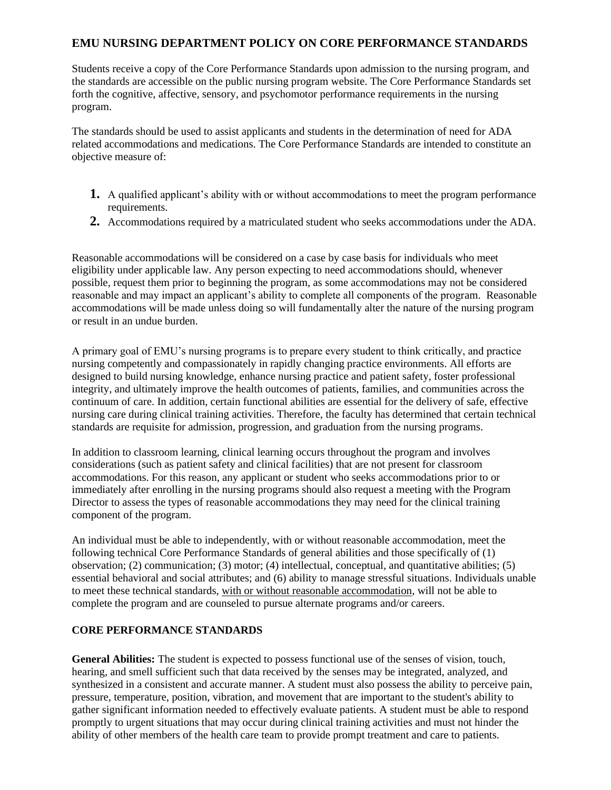## **EMU NURSING DEPARTMENT POLICY ON CORE PERFORMANCE STANDARDS**

Students receive a copy of the Core Performance Standards upon admission to the nursing program, and the standards are accessible on the public nursing program website. The Core Performance Standards set forth the cognitive, affective, sensory, and psychomotor performance requirements in the nursing program.

The standards should be used to assist applicants and students in the determination of need for ADA related accommodations and medications. The Core Performance Standards are intended to constitute an objective measure of:

- **1.** A qualified applicant's ability with or without accommodations to meet the program performance requirements.
- **2.** Accommodations required by a matriculated student who seeks accommodations under the ADA.

Reasonable accommodations will be considered on a case by case basis for individuals who meet eligibility under applicable law. Any person expecting to need accommodations should, whenever possible, request them prior to beginning the program, as some accommodations may not be considered reasonable and may impact an applicant's ability to complete all components of the program. Reasonable accommodations will be made unless doing so will fundamentally alter the nature of the nursing program or result in an undue burden.

A primary goal of EMU's nursing programs is to prepare every student to think critically, and practice nursing competently and compassionately in rapidly changing practice environments. All efforts are designed to build nursing knowledge, enhance nursing practice and patient safety, foster professional integrity, and ultimately improve the health outcomes of patients, families, and communities across the continuum of care. In addition, certain functional abilities are essential for the delivery of safe, effective nursing care during clinical training activities. Therefore, the faculty has determined that certain technical standards are requisite for admission, progression, and graduation from the nursing programs.

In addition to classroom learning, clinical learning occurs throughout the program and involves considerations (such as patient safety and clinical facilities) that are not present for classroom accommodations. For this reason, any applicant or student who seeks accommodations prior to or immediately after enrolling in the nursing programs should also request a meeting with the Program Director to assess the types of reasonable accommodations they may need for the clinical training component of the program.

An individual must be able to independently, with or without reasonable accommodation, meet the following technical Core Performance Standards of general abilities and those specifically of (1) observation; (2) communication; (3) motor; (4) intellectual, conceptual, and quantitative abilities; (5) essential behavioral and social attributes; and (6) ability to manage stressful situations. Individuals unable to meet these technical standards, with or without reasonable accommodation, will not be able to complete the program and are counseled to pursue alternate programs and/or careers.

## **CORE PERFORMANCE STANDARDS**

**General Abilities:** The student is expected to possess functional use of the senses of vision, touch, hearing, and smell sufficient such that data received by the senses may be integrated, analyzed, and synthesized in a consistent and accurate manner. A student must also possess the ability to perceive pain, pressure, temperature, position, vibration, and movement that are important to the student's ability to gather significant information needed to effectively evaluate patients. A student must be able to respond promptly to urgent situations that may occur during clinical training activities and must not hinder the ability of other members of the health care team to provide prompt treatment and care to patients.